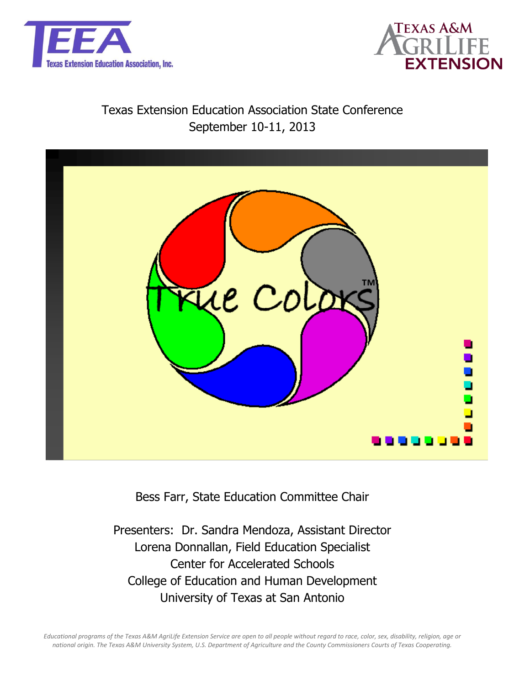



## Texas Extension Education Association State Conference September 10-11, 2013



Bess Farr, State Education Committee Chair

Presenters: Dr. Sandra Mendoza, Assistant Director Lorena Donnallan, Field Education Specialist Center for Accelerated Schools College of Education and Human Development University of Texas at San Antonio

*Educational programs of the Texas A&M AgriLife Extension Service are open to all people without regard to race, color, sex, disability, religion, age or national origin. The Texas A&M University System, U.S. Department of Agriculture and the County Commissioners Courts of Texas Cooperating.*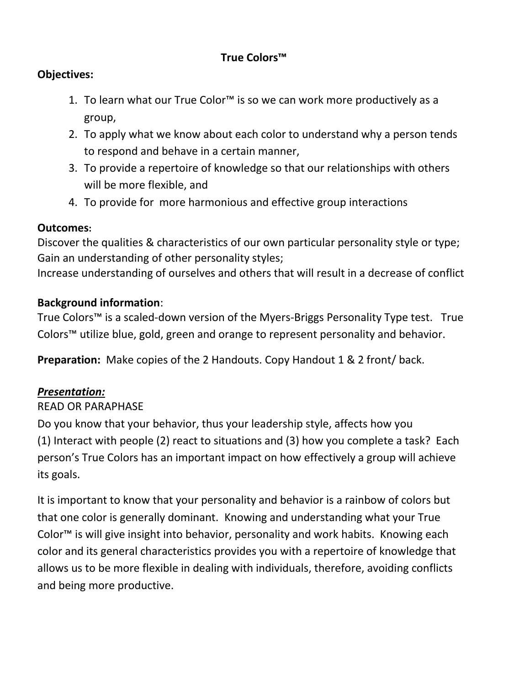## **True Colors™**

## **Objectives:**

- 1. To learn what our True Color™ is so we can work more productively as a group,
- 2. To apply what we know about each color to understand why a person tends to respond and behave in a certain manner,
- 3. To provide a repertoire of knowledge so that our relationships with others will be more flexible, and
- 4. To provide for more harmonious and effective group interactions

#### **Outcomes:**

Discover the qualities & characteristics of our own particular personality style or type; Gain an understanding of other personality styles;

Increase understanding of ourselves and others that will result in a decrease of conflict

#### **Background information**:

True Colors™ is a scaled-down version of the Myers-Briggs Personality Type test. True Colors™ utilize blue, gold, green and orange to represent personality and behavior.

**Preparation:** Make copies of the 2 Handouts. Copy Handout 1 & 2 front/ back.

## *Presentation:*

## READ OR PARAPHASE

Do you know that your behavior, thus your leadership style, affects how you (1) Interact with people (2) react to situations and (3) how you complete a task? Each person's True Colors has an important impact on how effectively a group will achieve its goals.

It is important to know that your personality and behavior is a rainbow of colors but that one color is generally dominant. Knowing and understanding what your True Color™ is will give insight into behavior, personality and work habits. Knowing each color and its general characteristics provides you with a repertoire of knowledge that allows us to be more flexible in dealing with individuals, therefore, avoiding conflicts and being more productive.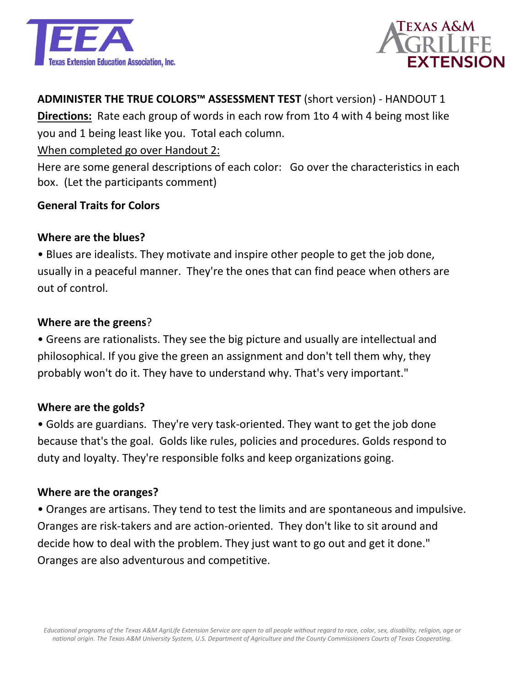



### **ADMINISTER THE TRUE COLORS™ ASSESSMENT TEST** (short version) - HANDOUT 1

**Directions:** Rate each group of words in each row from 1to 4 with 4 being most like you and 1 being least like you. Total each column.

#### When completed go over Handout 2:

Here are some general descriptions of each color: Go over the characteristics in each box. (Let the participants comment)

#### **General Traits for Colors**

#### **Where are the blues?**

• Blues are idealists. They motivate and inspire other people to get the job done, usually in a peaceful manner. They're the ones that can find peace when others are out of control.

#### **Where are the greens**?

• Greens are rationalists. They see the big picture and usually are intellectual and philosophical. If you give the green an assignment and don't tell them why, they probably won't do it. They have to understand why. That's very important."

#### **Where are the golds?**

• Golds are guardians. They're very task-oriented. They want to get the job done because that's the goal. Golds like rules, policies and procedures. Golds respond to duty and loyalty. They're responsible folks and keep organizations going.

#### **Where are the oranges?**

• Oranges are artisans. They tend to test the limits and are spontaneous and impulsive. Oranges are risk-takers and are action-oriented. They don't like to sit around and decide how to deal with the problem. They just want to go out and get it done." Oranges are also adventurous and competitive.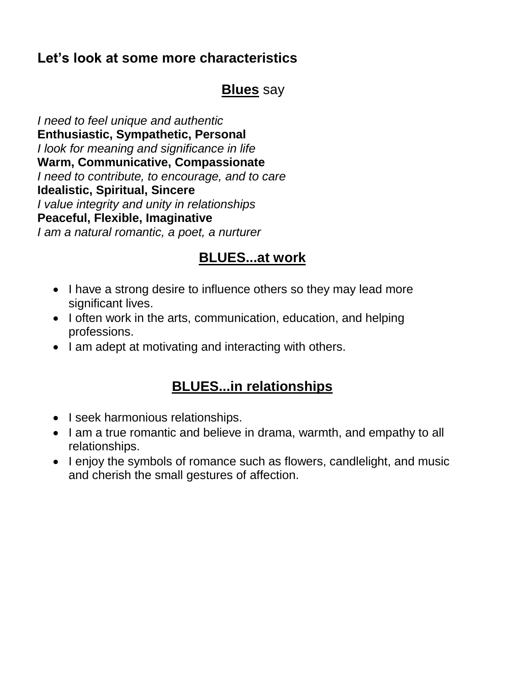## **Let's look at some more characteristics**

## **Blues** say

*I need to feel unique and authentic* **Enthusiastic, Sympathetic, Personal** *I look for meaning and significance in life* **Warm, Communicative, Compassionate** *I need to contribute, to encourage, and to care* **Idealistic, Spiritual, Sincere** *I value integrity and unity in relationships* **Peaceful, Flexible, Imaginative**  *I am a natural romantic, a poet, a nurturer*

## **BLUES...at work**

- I have a strong desire to influence others so they may lead more significant lives.
- I often work in the arts, communication, education, and helping professions.
- I am adept at motivating and interacting with others.

## **BLUES...in relationships**

- I seek harmonious relationships.
- I am a true romantic and believe in drama, warmth, and empathy to all relationships.
- I enjoy the symbols of romance such as flowers, candlelight, and music and cherish the small gestures of affection.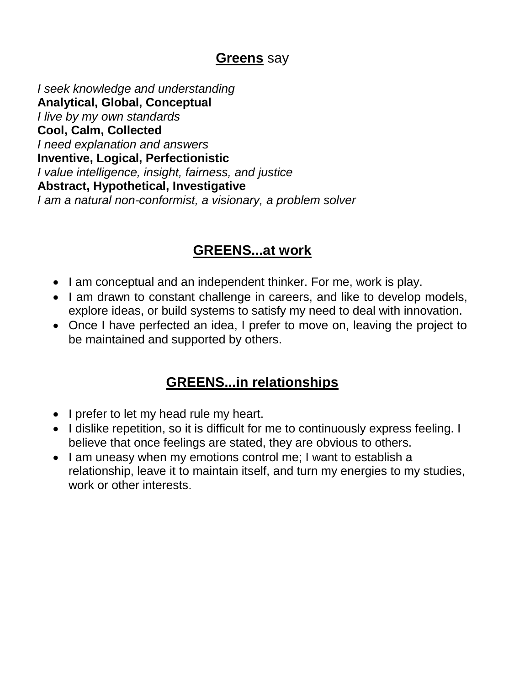## **Greens** say

*I seek knowledge and understanding* **Analytical, Global, Conceptual** *I live by my own standards* **Cool, Calm, Collected** *I need explanation and answers* **Inventive, Logical, Perfectionistic** *I value intelligence, insight, fairness, and justice* **Abstract, Hypothetical, Investigative**  *I am a natural non-conformist, a visionary, a problem solver*

## **GREENS...at work**

- I am conceptual and an independent thinker. For me, work is play.
- I am drawn to constant challenge in careers, and like to develop models, explore ideas, or build systems to satisfy my need to deal with innovation.
- Once I have perfected an idea, I prefer to move on, leaving the project to be maintained and supported by others.

## **GREENS...in relationships**

- I prefer to let my head rule my heart.
- I dislike repetition, so it is difficult for me to continuously express feeling. I believe that once feelings are stated, they are obvious to others.
- I am uneasy when my emotions control me; I want to establish a relationship, leave it to maintain itself, and turn my energies to my studies, work or other interests.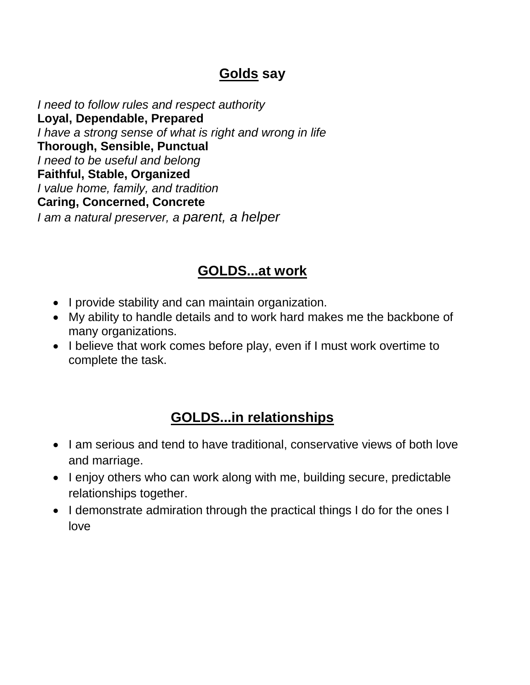## **Golds say**

*I need to follow rules and respect authority* **Loyal, Dependable, Prepared** *I have a strong sense of what is right and wrong in life* **Thorough, Sensible, Punctual** *I need to be useful and belong* **Faithful, Stable, Organized** *I value home, family, and tradition* **Caring, Concerned, Concrete** *I am a natural preserver, a parent, a helper*

## **GOLDS...at work**

- I provide stability and can maintain organization.
- My ability to handle details and to work hard makes me the backbone of many organizations.
- I believe that work comes before play, even if I must work overtime to complete the task.

## **GOLDS...in relationships**

- I am serious and tend to have traditional, conservative views of both love and marriage.
- I enjoy others who can work along with me, building secure, predictable relationships together.
- I demonstrate admiration through the practical things I do for the ones I love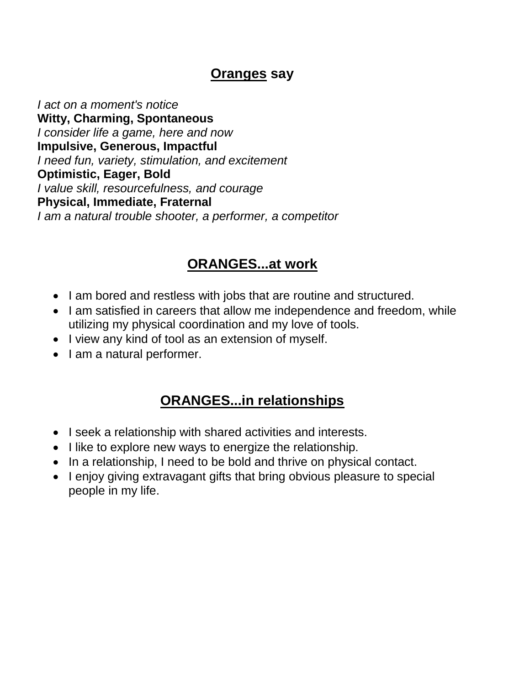## **Oranges say**

*I act on a moment's notice* **Witty, Charming, Spontaneous** *I consider life a game, here and now* **Impulsive, Generous, Impactful** *I need fun, variety, stimulation, and excitement* **Optimistic, Eager, Bold** *I value skill, resourcefulness, and courage* **Physical, Immediate, Fraternal** *I am a natural trouble shooter, a performer, a competitor*

## **ORANGES...at work**

- I am bored and restless with jobs that are routine and structured.
- I am satisfied in careers that allow me independence and freedom, while utilizing my physical coordination and my love of tools.
- I view any kind of tool as an extension of myself.
- I am a natural performer.

## **ORANGES...in relationships**

- I seek a relationship with shared activities and interests.
- I like to explore new ways to energize the relationship.
- In a relationship, I need to be bold and thrive on physical contact.
- I enjoy giving extravagant gifts that bring obvious pleasure to special people in my life.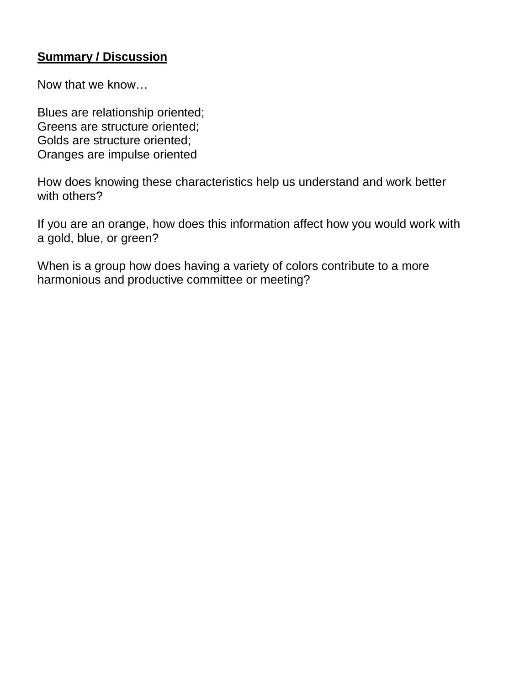## **Summary / Discussion**

Now that we know…

Blues are relationship oriented; Greens are structure oriented; Golds are structure oriented; Oranges are impulse oriented

How does knowing these characteristics help us understand and work better with others?

If you are an orange, how does this information affect how you would work with a gold, blue, or green?

When is a group how does having a variety of colors contribute to a more harmonious and productive committee or meeting?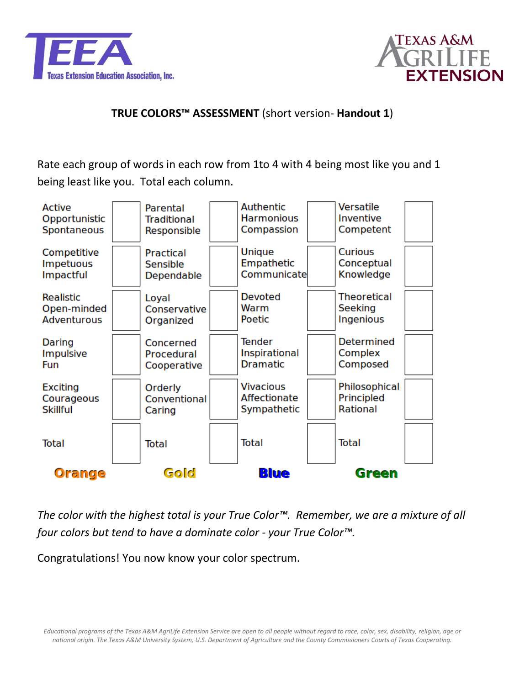



### **TRUE COLORS™ ASSESSMENT** (short version- **Handout 1**)

Rate each group of words in each row from 1to 4 with 4 being most like you and 1 being least like you. Total each column.



*The color with the highest total is your True Color™. Remember, we are a mixture of all four colors but tend to have a dominate color - your True Color™.*

Congratulations! You now know your color spectrum.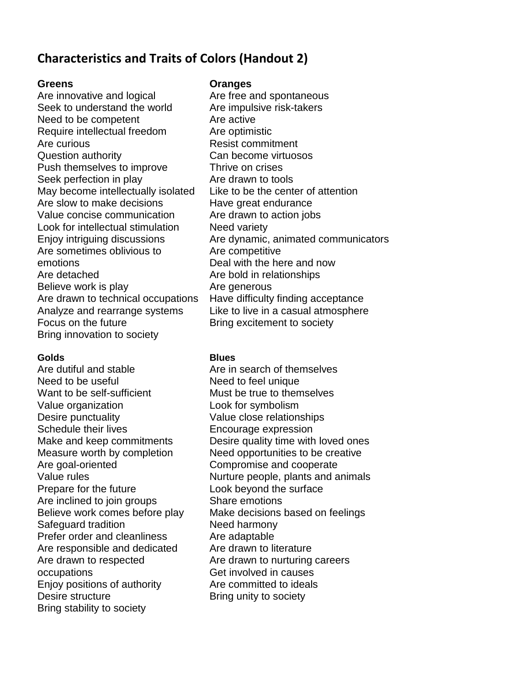## **Characteristics and Traits of Colors (Handout 2)**

Are innovative and logical Seek to understand the world Need to be competent Require intellectual freedom Are curious Question authority Push themselves to improve Seek perfection in play May become intellectually isolated Are slow to make decisions Value concise communication Look for intellectual stimulation Enjoy intriguing discussions Are sometimes oblivious to emotions Are detached Believe work is play Are drawn to technical occupations Analyze and rearrange systems Focus on the future Bring innovation to society

#### **Golds Blues**

Are dutiful and stable Need to be useful Want to be self-sufficient Value organization Desire punctuality Schedule their lives Make and keep commitments Measure worth by completion Are goal-oriented Value rules Prepare for the future Are inclined to join groups Believe work comes before play Safeguard tradition Prefer order and cleanliness Are responsible and dedicated Are drawn to respected occupations Enjoy positions of authority Desire structure Bring stability to society

#### **Greens Oranges**

Are free and spontaneous Are impulsive risk-takers Are active Are optimistic Resist commitment Can become virtuosos Thrive on crises Are drawn to tools Like to be the center of attention Have great endurance Are drawn to action jobs Need variety Are dynamic, animated communicators Are competitive Deal with the here and now Are bold in relationships Are generous Have difficulty finding acceptance Like to live in a casual atmosphere Bring excitement to society

Are in search of themselves Need to feel unique Must be true to themselves Look for symbolism Value close relationships Encourage expression Desire quality time with loved ones Need opportunities to be creative Compromise and cooperate Nurture people, plants and animals Look beyond the surface Share emotions Make decisions based on feelings Need harmony Are adaptable Are drawn to literature Are drawn to nurturing careers Get involved in causes Are committed to ideals Bring unity to society